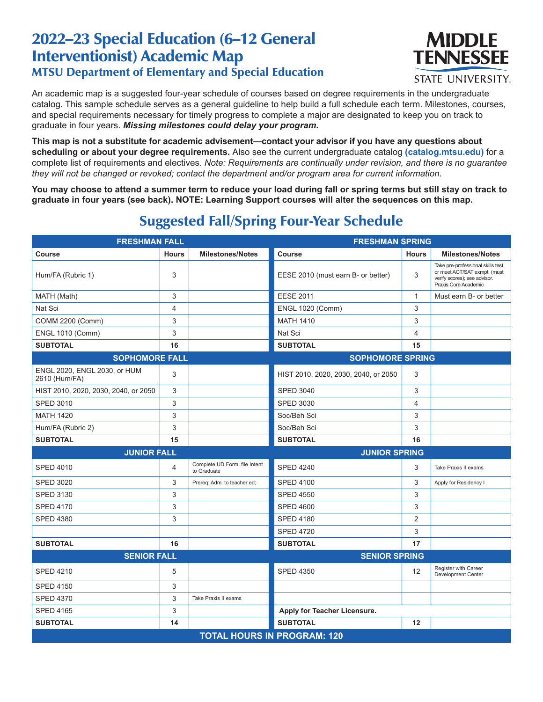## 2022–23 Special Education (6–12 General Interventionist) Academic Map MTSU Department of Elementary and Special Education



**STATE UNIVERSITY.** 

An academic map is a suggested four-year schedule of courses based on degree requirements in the undergraduate catalog. This sample schedule serves as a general guideline to help build a full schedule each term. Milestones, courses, and special requirements necessary for timely progress to complete a major are designated to keep you on track to graduate in four years. *Missing milestones could delay your program.*

**This map is not a substitute for academic advisement—contact your advisor if you have any questions about scheduling or about your degree requirements.** Also see the current undergraduate catalog **(catalog.mtsu.edu)** for a complete list of requirements and electives. *Note: Requirements are continually under revision, and there is no guarantee they will not be changed or revoked; contact the department and/or program area for current information.*

**You may choose to attend a summer term to reduce your load during fall or spring terms but still stay on track to graduate in four years (see back). NOTE: Learning Support courses will alter the sequences on this map.**

| <b>FRESHMAN FALL</b>                          |              |                                              | <b>FRESHMAN SPRING</b>               |                |                                                                                                                           |  |  |
|-----------------------------------------------|--------------|----------------------------------------------|--------------------------------------|----------------|---------------------------------------------------------------------------------------------------------------------------|--|--|
| Course                                        | <b>Hours</b> | <b>Milestones/Notes</b>                      | Course                               | <b>Hours</b>   | <b>Milestones/Notes</b>                                                                                                   |  |  |
| Hum/FA (Rubric 1)                             | 3            |                                              | EESE 2010 (must earn B- or better)   | 3              | Take pre-professional skills test<br>or meet ACT/SAT exmpt. (must<br>verify scores); see advisor.<br>Praxis Core Academic |  |  |
| MATH (Math)                                   | 3            |                                              | <b>EESE 2011</b>                     | $\mathbf{1}$   | Must earn B- or better                                                                                                    |  |  |
| Nat Sci                                       | 4            |                                              | <b>ENGL 1020 (Comm)</b>              | 3              |                                                                                                                           |  |  |
| <b>COMM 2200 (Comm)</b>                       | 3            |                                              | <b>MATH 1410</b>                     | 3              |                                                                                                                           |  |  |
| <b>ENGL 1010 (Comm)</b>                       | 3            |                                              | Nat Sci                              | 4              |                                                                                                                           |  |  |
| <b>SUBTOTAL</b>                               | 16           |                                              | <b>SUBTOTAL</b>                      | 15             |                                                                                                                           |  |  |
| <b>SOPHOMORE FALL</b>                         |              | <b>SOPHOMORE SPRING</b>                      |                                      |                |                                                                                                                           |  |  |
| ENGL 2020, ENGL 2030, or HUM<br>2610 (Hum/FA) | 3            |                                              | HIST 2010, 2020, 2030, 2040, or 2050 | 3              |                                                                                                                           |  |  |
| HIST 2010, 2020, 2030, 2040, or 2050          | 3            |                                              | <b>SPED 3040</b>                     | 3              |                                                                                                                           |  |  |
| <b>SPED 3010</b>                              | 3            |                                              | <b>SPED 3030</b>                     | $\overline{4}$ |                                                                                                                           |  |  |
| <b>MATH 1420</b>                              | 3            |                                              | Soc/Beh Sci                          | 3              |                                                                                                                           |  |  |
| Hum/FA (Rubric 2)                             | 3            |                                              | Soc/Beh Sci                          | 3              |                                                                                                                           |  |  |
| <b>SUBTOTAL</b>                               | 15           |                                              | <b>SUBTOTAL</b>                      | 16             |                                                                                                                           |  |  |
| <b>JUNIOR FALL</b>                            |              |                                              | <b>JUNIOR SPRING</b>                 |                |                                                                                                                           |  |  |
| <b>SPED 4010</b>                              | 4            | Complete UD Form; file Intent<br>to Graduate | <b>SPED 4240</b>                     | 3              | Take Praxis II exams                                                                                                      |  |  |
| <b>SPED 3020</b>                              | 3            | Prereq: Adm. to teacher ed;                  | <b>SPED 4100</b>                     | 3              | Apply for Residency I                                                                                                     |  |  |
| <b>SPED 3130</b>                              | 3            |                                              | <b>SPED 4550</b>                     | 3              |                                                                                                                           |  |  |
| <b>SPED 4170</b>                              | 3            |                                              | <b>SPED 4600</b>                     | 3              |                                                                                                                           |  |  |
| <b>SPED 4380</b>                              | 3            |                                              | <b>SPED 4180</b>                     | 2              |                                                                                                                           |  |  |
|                                               |              |                                              | <b>SPED 4720</b>                     | 3              |                                                                                                                           |  |  |
| <b>SUBTOTAL</b>                               | 16           |                                              | <b>SUBTOTAL</b>                      | 17             |                                                                                                                           |  |  |
| <b>SENIOR FALL</b>                            |              | <b>SENIOR SPRING</b>                         |                                      |                |                                                                                                                           |  |  |
| <b>SPED 4210</b>                              | 5            |                                              | <b>SPED 4350</b>                     | 12             | Register with Career<br>Development Center                                                                                |  |  |
| <b>SPED 4150</b>                              | 3            |                                              |                                      |                |                                                                                                                           |  |  |
| <b>SPED 4370</b>                              | 3            | Take Praxis II exams                         |                                      |                |                                                                                                                           |  |  |
| <b>SPED 4165</b>                              | 3            |                                              | Apply for Teacher Licensure.         |                |                                                                                                                           |  |  |
| <b>SUBTOTAL</b>                               | 14           |                                              | <b>SUBTOTAL</b>                      | 12             |                                                                                                                           |  |  |
| <b>TOTAL HOURS IN PROGRAM: 120</b>            |              |                                              |                                      |                |                                                                                                                           |  |  |

## Suggested Fall/Spring Four-Year Schedule